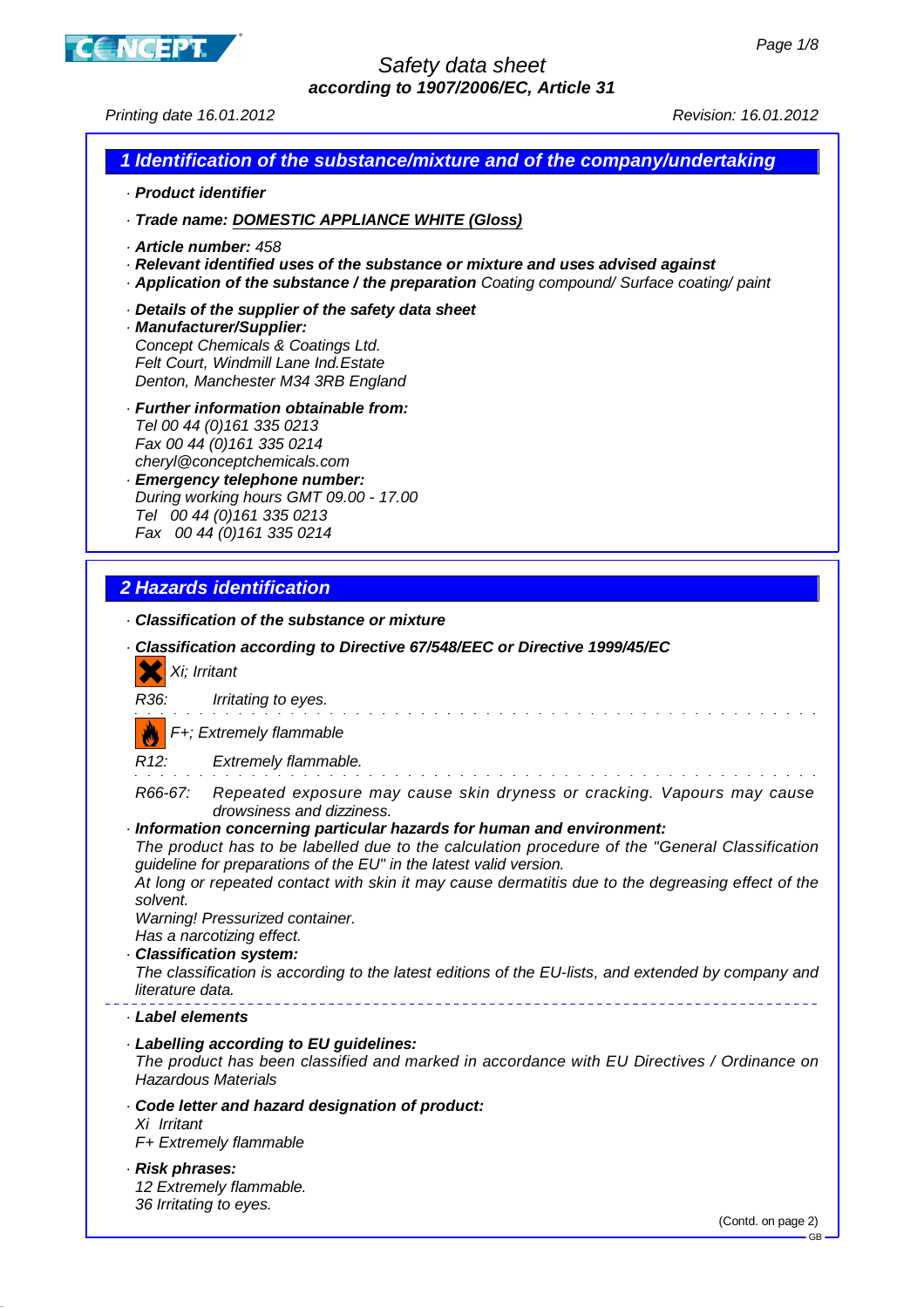

Printing date 16.01.2012 Revision: 16.01.2012

#### **1 Identification of the substance/mixture and of the company/undertaking**

- · **Product identifier**
- · **Trade name: DOMESTIC APPLIANCE WHITE (Gloss)**
- · **Article number:** 458
- · **Relevant identified uses of the substance or mixture and uses advised against**
- · **Application of the substance / the preparation** Coating compound/ Surface coating/ paint
- · **Details of the supplier of the safety data sheet**
- · **Manufacturer/Supplier:** Concept Chemicals & Coatings Ltd. Felt Court, Windmill Lane Ind.Estate Denton, Manchester M34 3RB England
- · **Further information obtainable from:** Tel 00 44 (0)161 335 0213 Fax 00 44 (0) 161 335 0214 cheryl@conceptchemicals.com
- · **Emergency telephone number:** During working hours GMT 09.00 - 17.00 Tel 00 44 (0)161 335 0213 Fax 00 44 (0) 161 335 0214

## **2 Hazards identification**

· **Classification of the substance or mixture**

|                  | · Classification according to Directive 67/548/EEC or Directive 1999/45/EC<br>Xi; Irritant                                                                                                                                                     |
|------------------|------------------------------------------------------------------------------------------------------------------------------------------------------------------------------------------------------------------------------------------------|
| R36:             | Irritating to eyes.                                                                                                                                                                                                                            |
|                  | $F_{+}$ ; Extremely flammable                                                                                                                                                                                                                  |
|                  | R12: Extremely flammable.                                                                                                                                                                                                                      |
| R66-67:          | Repeated exposure may cause skin dryness or cracking. Vapours may cause<br>drowsiness and dizziness.                                                                                                                                           |
|                  | · Information concerning particular hazards for human and environment:<br>The product has to be labelled due to the calculation procedure of the "General Classification<br>guideline for preparations of the EU" in the latest valid version. |
| solvent.         | At long or repeated contact with skin it may cause dermatitis due to the degreasing effect of the                                                                                                                                              |
|                  | Warning! Pressurized container.<br>Has a narcotizing effect.                                                                                                                                                                                   |
|                  | · Classification system:                                                                                                                                                                                                                       |
| literature data. | The classification is according to the latest editions of the EU-lists, and extended by company and                                                                                                                                            |
| · Label elements |                                                                                                                                                                                                                                                |
|                  | · Labelling according to EU guidelines:<br>The product has been classified and marked in accordance with EU Directives / Ordinance on<br><b>Hazardous Materials</b>                                                                            |
| Xi Irritant      | Code letter and hazard designation of product:<br>F+ Extremely flammable                                                                                                                                                                       |
| · Risk phrases:  | 12 Extremely flammable.                                                                                                                                                                                                                        |
|                  | 36 Irritating to eyes.                                                                                                                                                                                                                         |
|                  | (Contd. on page 2)<br>$-$ GR                                                                                                                                                                                                                   |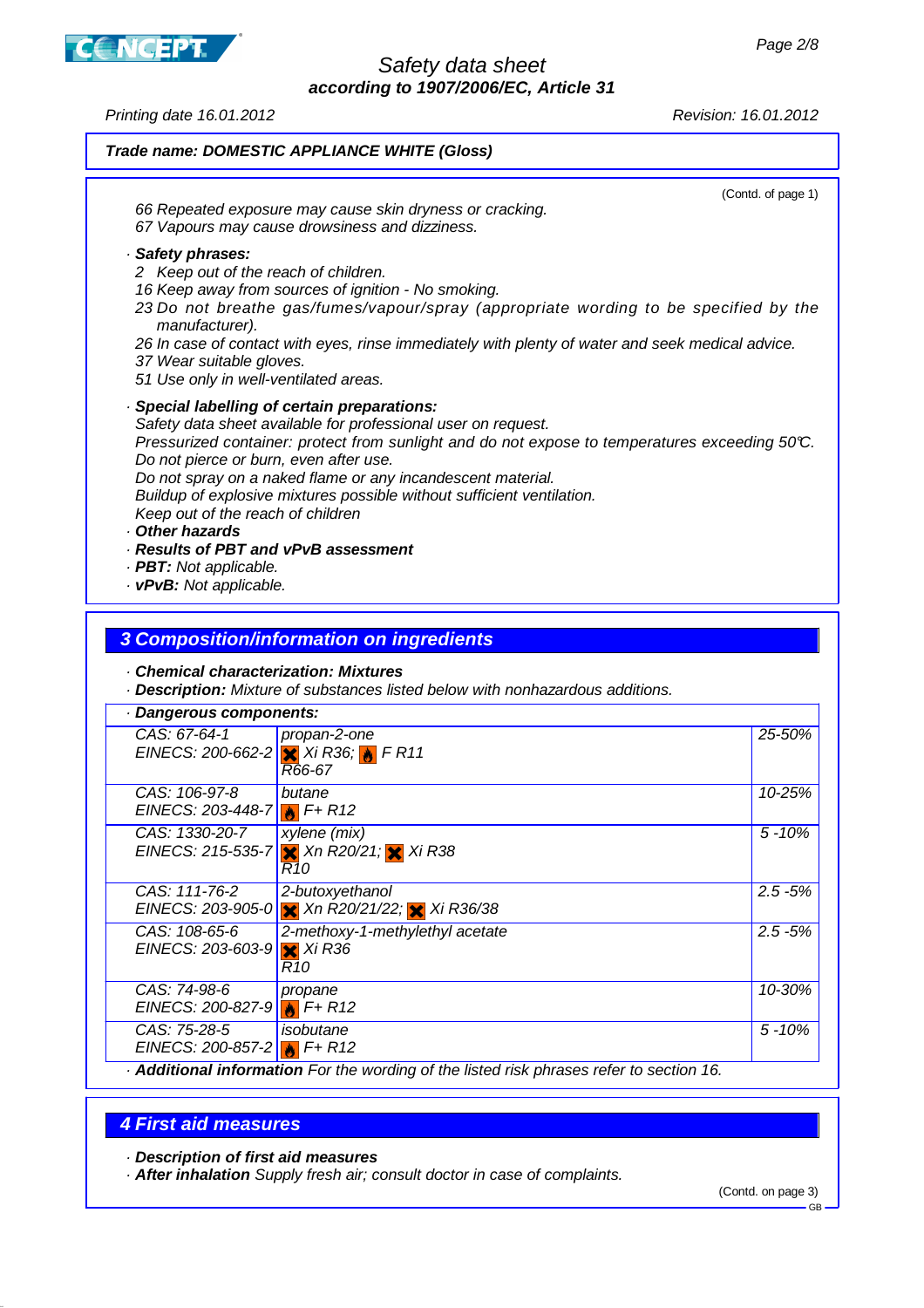**CNCEPT** 

Printing date 16.01.2012 Revision: 16.01.2012

## **Trade name: DOMESTIC APPLIANCE WHITE (Gloss)** (Contd. of page 1) 66 Repeated exposure may cause skin dryness or cracking. 67 Vapours may cause drowsiness and dizziness. · **Safety phrases:** 2 Keep out of the reach of children. 16 Keep away from sources of ignition - No smoking. 23 Do not breathe gas/fumes/vapour/spray (appropriate wording to be specified by the manufacturer). 26 In case of contact with eyes, rinse immediately with plenty of water and seek medical advice. 37 Wear suitable gloves. 51 Use only in well-ventilated areas. · **Special labelling of certain preparations:** Safety data sheet available for professional user on request. Pressurized container: protect from sunlight and do not expose to temperatures exceeding 50°C. Do not pierce or burn, even after use. Do not spray on a naked flame or any incandescent material. Buildup of explosive mixtures possible without sufficient ventilation. Keep out of the reach of children · **Other hazards** · **Results of PBT and vPvB assessment** · **PBT:** Not applicable. · **vPvB:** Not applicable.

#### **3 Composition/information on ingredients**

#### · **Chemical characterization: Mixtures**

· **Description:** Mixture of substances listed below with nonhazardous additions.

| Dangerous components:                                    |                                                                                              |            |  |  |  |
|----------------------------------------------------------|----------------------------------------------------------------------------------------------|------------|--|--|--|
| CAS: 67-64-1                                             | propan-2-one<br>EINECS: 200-662-2 $\frac{1}{2}$ Xi R36; $\frac{1}{2}$ F R11<br>R66-67        | 25-50%     |  |  |  |
| CAS: 106-97-8<br>EINECS: 203-448-7 $\frac{1}{10}$ F+ R12 | butane                                                                                       | 10-25%     |  |  |  |
| CAS: 1330-20-7                                           | xylene (mix)<br>EINECS: 215-535-7 $\times$ Xn R20/21; $\times$ Xi R38<br>R10                 | $5 - 10%$  |  |  |  |
| CAS: 111-76-2<br>EINECS: 203-905-0                       | 2-butoxyethanol<br>X Xn R20/21/22; X Xi R36/38                                               | $2.5 - 5%$ |  |  |  |
| CAS: 108-65-6<br>EINECS: 203-603-9                       | 2-methoxy-1-methylethyl acetate<br>$X$ Xi R36<br>R10                                         | $2.5 - 5%$ |  |  |  |
| CAS: 74-98-6<br>EINECS: 200-827-9 $\frac{1}{10}$ F+ R12  | propane                                                                                      | 10-30%     |  |  |  |
| CAS: 75-28-5<br>EINECS: 200-857-2 $\frac{1}{10}$ F+ R12  | isobutane                                                                                    | $5 - 10%$  |  |  |  |
|                                                          | <b>Additional information</b> For the wording of the listed risk phrases refer to section 16 |            |  |  |  |

#### · **Additional information** For the wording of the listed risk phrases refer to section 16.

## **4 First aid measures**

· **Description of first aid measures**

· **After inhalation** Supply fresh air; consult doctor in case of complaints.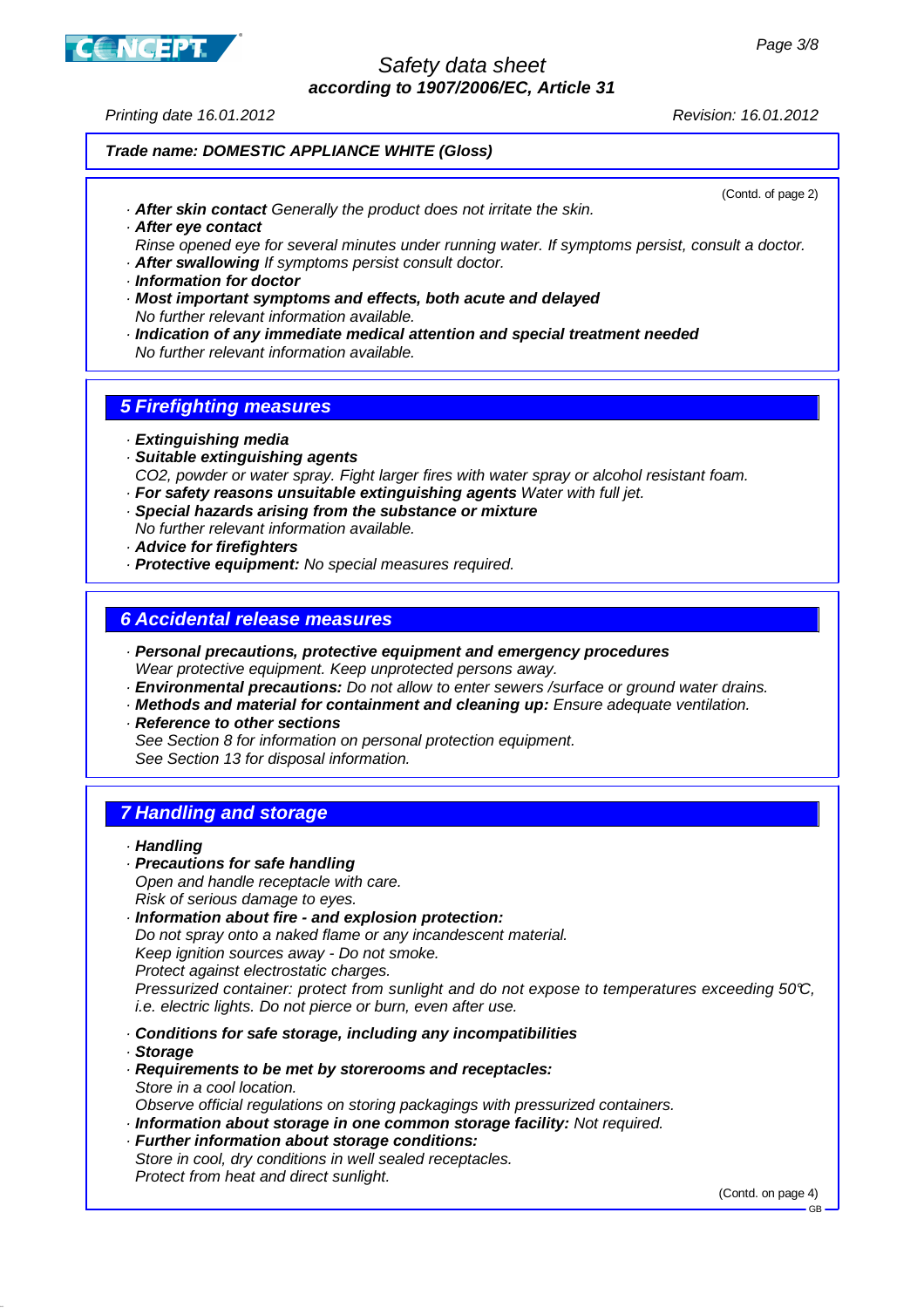

Printing date 16.01.2012 Revision: 16.01.2012

#### **Trade name: DOMESTIC APPLIANCE WHITE (Gloss)**

· **After skin contact** Generally the product does not irritate the skin.

(Contd. of page 2)

· **After eye contact**

Rinse opened eye for several minutes under running water. If symptoms persist, consult a doctor. · **After swallowing** If symptoms persist consult doctor.

- · **Information for doctor**
- · **Most important symptoms and effects, both acute and delayed** No further relevant information available.
- · **Indication of any immediate medical attention and special treatment needed** No further relevant information available.

## **5 Firefighting measures**

- · **Extinguishing media**
- · **Suitable extinguishing agents**

CO2, powder or water spray. Fight larger fires with water spray or alcohol resistant foam.

- · **For safety reasons unsuitable extinguishing agents** Water with full jet.
- · **Special hazards arising from the substance or mixture**
- No further relevant information available.
- · **Advice for firefighters**
- · **Protective equipment:** No special measures required.

#### **6 Accidental release measures**

- · **Personal precautions, protective equipment and emergency procedures** Wear protective equipment. Keep unprotected persons away.
- · **Environmental precautions:** Do not allow to enter sewers /surface or ground water drains.
- · **Methods and material for containment and cleaning up:** Ensure adequate ventilation.
- · **Reference to other sections**

See Section 8 for information on personal protection equipment. See Section 13 for disposal information.

# **7 Handling and storage**

#### · **Handling**

- · **Precautions for safe handling**
- Open and handle receptacle with care. Risk of serious damage to eyes.
- · **Information about fire and explosion protection:** Do not spray onto a naked flame or any incandescent material. Keep ignition sources away - Do not smoke. Protect against electrostatic charges. Pressurized container: protect from sunlight and do not expose to temperatures exceeding 50°C, i.e. electric lights. Do not pierce or burn, even after use.
- · **Conditions for safe storage, including any incompatibilities**
- · **Storage**
- · **Requirements to be met by storerooms and receptacles:** Store in a cool location.
- Observe official regulations on storing packagings with pressurized containers.
- · **Information about storage in one common storage facility:** Not required.
- · **Further information about storage conditions:** Store in cool, dry conditions in well sealed receptacles. Protect from heat and direct sunlight.

(Contd. on page 4)

GB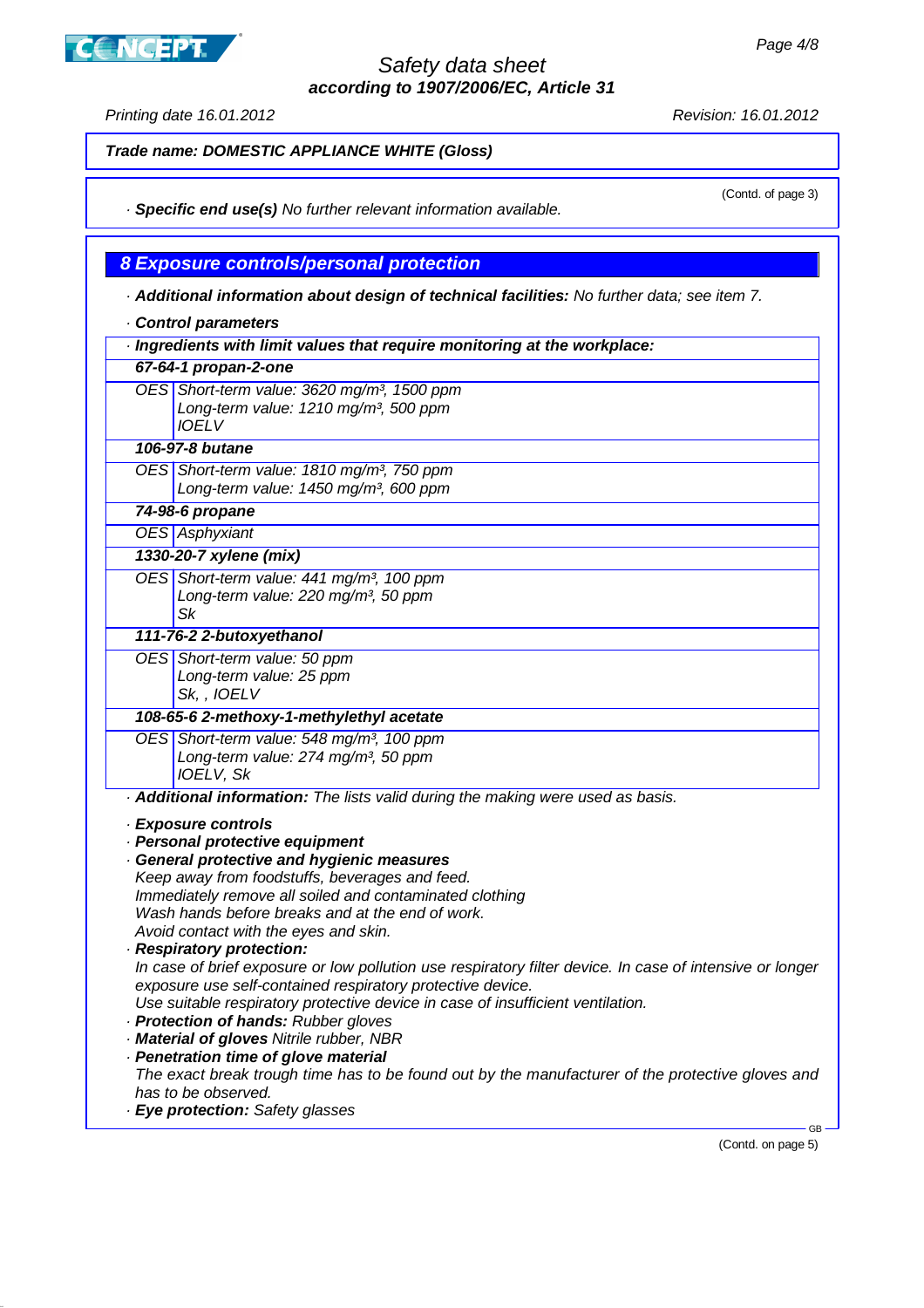**CINCEPT** 

Printing date 16.01.2012 Revision: 16.01.2012

(Contd. of page 3)

**Trade name: DOMESTIC APPLIANCE WHITE (Gloss)**

· **Specific end use(s)** No further relevant information available.

**8 Exposure controls/personal protection**

· **Additional information about design of technical facilities:** No further data; see item 7.

· **Control parameters** · **Ingredients with limit values that require monitoring at the workplace: 67-64-1 propan-2-one** OES Short-term value: 3620 mg/m<sup>3</sup>, 1500 ppm Long-term value:  $1210$  mg/m<sup>3</sup>, 500 ppm

**106-97-8 butane** OES Short-term value: 1810 mg/m<sup>3</sup>, 750 ppm Long-term value: 1450 mg/m<sup>3</sup>, 600 ppm

**74-98-6 propane**

IOELV

OES Asphyxiant

**1330-20-7 xylene (mix)**

OES Short-term value: 441 mg/m<sup>3</sup>, 100 ppm Long-term value: 220 mg/m<sup>3</sup>, 50 ppm Sk

**111-76-2 2-butoxyethanol**

OES Short-term value: 50 ppm Long-term value: 25 ppm Sk, , IOELV

**108-65-6 2-methoxy-1-methylethyl acetate**

OES Short-term value: 548 mg/m<sup>3</sup>, 100 ppm Long-term value: 274 mg/m<sup>3</sup>, 50 ppm IOELV, Sk

· **Additional information:** The lists valid during the making were used as basis.

· **Exposure controls**

· **Personal protective equipment**

· **General protective and hygienic measures** Keep away from foodstuffs, beverages and feed. Immediately remove all soiled and contaminated clothing Wash hands before breaks and at the end of work.

Avoid contact with the eyes and skin.

· **Respiratory protection:** In case of brief exposure or low pollution use respiratory filter device. In case of intensive or longer exposure use self-contained respiratory protective device.

Use suitable respiratory protective device in case of insufficient ventilation.

- · **Protection of hands:** Rubber gloves
- · **Material of gloves** Nitrile rubber, NBR

· **Penetration time of glove material** The exact break trough time has to be found out by the manufacturer of the protective gloves and has to be observed.

· **Eye protection:** Safety glasses

(Contd. on page 5)

GB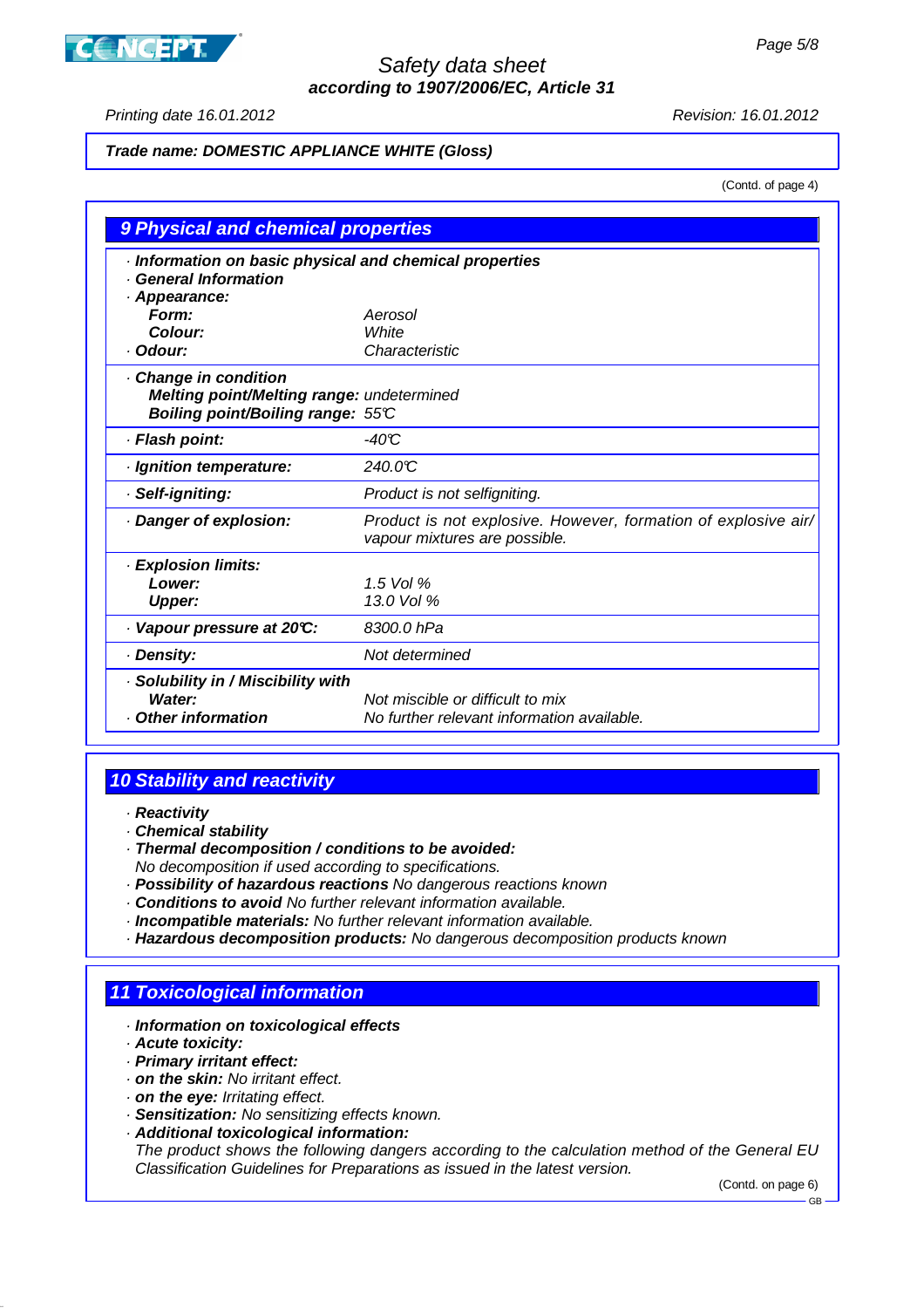# **CONCEPT**

## Safety data sheet **according to 1907/2006/EC, Article 31**

Printing date 16.01.2012 Revision: 16.01.2012

#### **Trade name: DOMESTIC APPLIANCE WHITE (Gloss)**

(Contd. of page 4)

| 9 Physical and chemical properties                                                                     |                                                                                                 |  |  |  |  |  |
|--------------------------------------------------------------------------------------------------------|-------------------------------------------------------------------------------------------------|--|--|--|--|--|
| · Information on basic physical and chemical properties<br><b>General Information</b><br>· Appearance: |                                                                                                 |  |  |  |  |  |
| Form:                                                                                                  | Aerosol                                                                                         |  |  |  |  |  |
| Colour:                                                                                                | White                                                                                           |  |  |  |  |  |
| · Odour:                                                                                               | Characteristic                                                                                  |  |  |  |  |  |
| Change in condition<br>Melting point/Melting range: undetermined<br>Boiling point/Boiling range: 55°C  |                                                                                                 |  |  |  |  |  |
| · Flash point:                                                                                         | $-40C$                                                                                          |  |  |  |  |  |
| · Ignition temperature:                                                                                | 240.0C                                                                                          |  |  |  |  |  |
| · Self-igniting:                                                                                       | Product is not selfigniting.                                                                    |  |  |  |  |  |
| · Danger of explosion:                                                                                 | Product is not explosive. However, formation of explosive air/<br>vapour mixtures are possible. |  |  |  |  |  |
| · Explosion limits:                                                                                    |                                                                                                 |  |  |  |  |  |
| Lower:                                                                                                 | $1.5$ Vol %                                                                                     |  |  |  |  |  |
| <b>Upper:</b>                                                                                          | 13.0 Vol %                                                                                      |  |  |  |  |  |
| Vapour pressure at 20°C:                                                                               | 8300.0 hPa                                                                                      |  |  |  |  |  |
| · Density:                                                                                             | Not determined                                                                                  |  |  |  |  |  |
| · Solubility in / Miscibility with<br>Water:<br>Other information                                      | Not miscible or difficult to mix<br>No further relevant information available.                  |  |  |  |  |  |

# **10 Stability and reactivity**

- · **Reactivity**
- · **Chemical stability**
- · **Thermal decomposition / conditions to be avoided:**
- No decomposition if used according to specifications.
- · **Possibility of hazardous reactions** No dangerous reactions known
- · **Conditions to avoid** No further relevant information available.
- · **Incompatible materials:** No further relevant information available.
- · **Hazardous decomposition products:** No dangerous decomposition products known

# **11 Toxicological information**

- · **Information on toxicological effects**
- · **Acute toxicity:**
- · **Primary irritant effect:**
- · **on the skin:** No irritant effect.
- · **on the eye:** Irritating effect.
- · **Sensitization:** No sensitizing effects known.
- · **Additional toxicological information:**

The product shows the following dangers according to the calculation method of the General EU Classification Guidelines for Preparations as issued in the latest version.

(Contd. on page 6)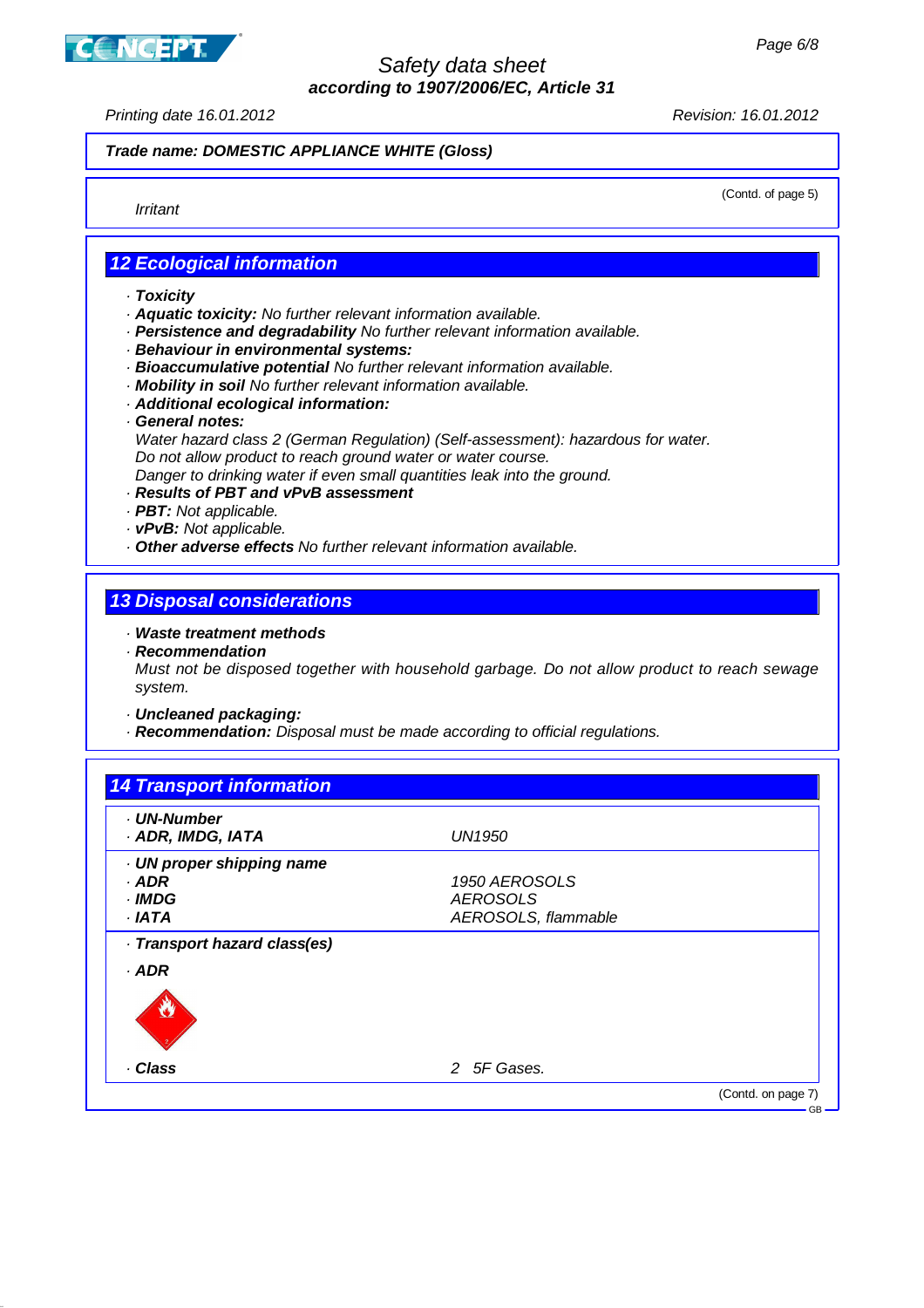**CANCEPT** 

# Safety data sheet **according to 1907/2006/EC, Article 31**

Printing date 16.01.2012 Revision: 16.01.2012

#### **Trade name: DOMESTIC APPLIANCE WHITE (Gloss)**

Irritant

(Contd. of page 5)

## **12 Ecological information**

- · **Toxicity**
- · **Aquatic toxicity:** No further relevant information available.
- · **Persistence and degradability** No further relevant information available.
- · **Behaviour in environmental systems:**
- · **Bioaccumulative potential** No further relevant information available.
- · **Mobility in soil** No further relevant information available.
- · **Additional ecological information:**
- · **General notes:**

Water hazard class 2 (German Regulation) (Self-assessment): hazardous for water. Do not allow product to reach ground water or water course.

Danger to drinking water if even small quantities leak into the ground.

- · **Results of PBT and vPvB assessment**
- · **PBT:** Not applicable.
- · **vPvB:** Not applicable.
- · **Other adverse effects** No further relevant information available.

## **13 Disposal considerations**

- · **Waste treatment methods**
- · **Recommendation**

Must not be disposed together with household garbage. Do not allow product to reach sewage system.

- · **Uncleaned packaging:**
- · **Recommendation:** Disposal must be made according to official regulations.

| . UN-Number                  |                     |  |
|------------------------------|---------------------|--|
| · ADR, IMDG, IATA            | <b>UN1950</b>       |  |
| · UN proper shipping name    |                     |  |
| · ADR                        | 1950 AEROSOLS       |  |
| · IMDG                       | <b>AEROSOLS</b>     |  |
| · IATA                       | AEROSOLS, flammable |  |
| · Transport hazard class(es) |                     |  |
| · ADR                        |                     |  |
|                              |                     |  |
|                              |                     |  |
|                              |                     |  |
|                              |                     |  |
| · Class                      | 2 5F Gases.         |  |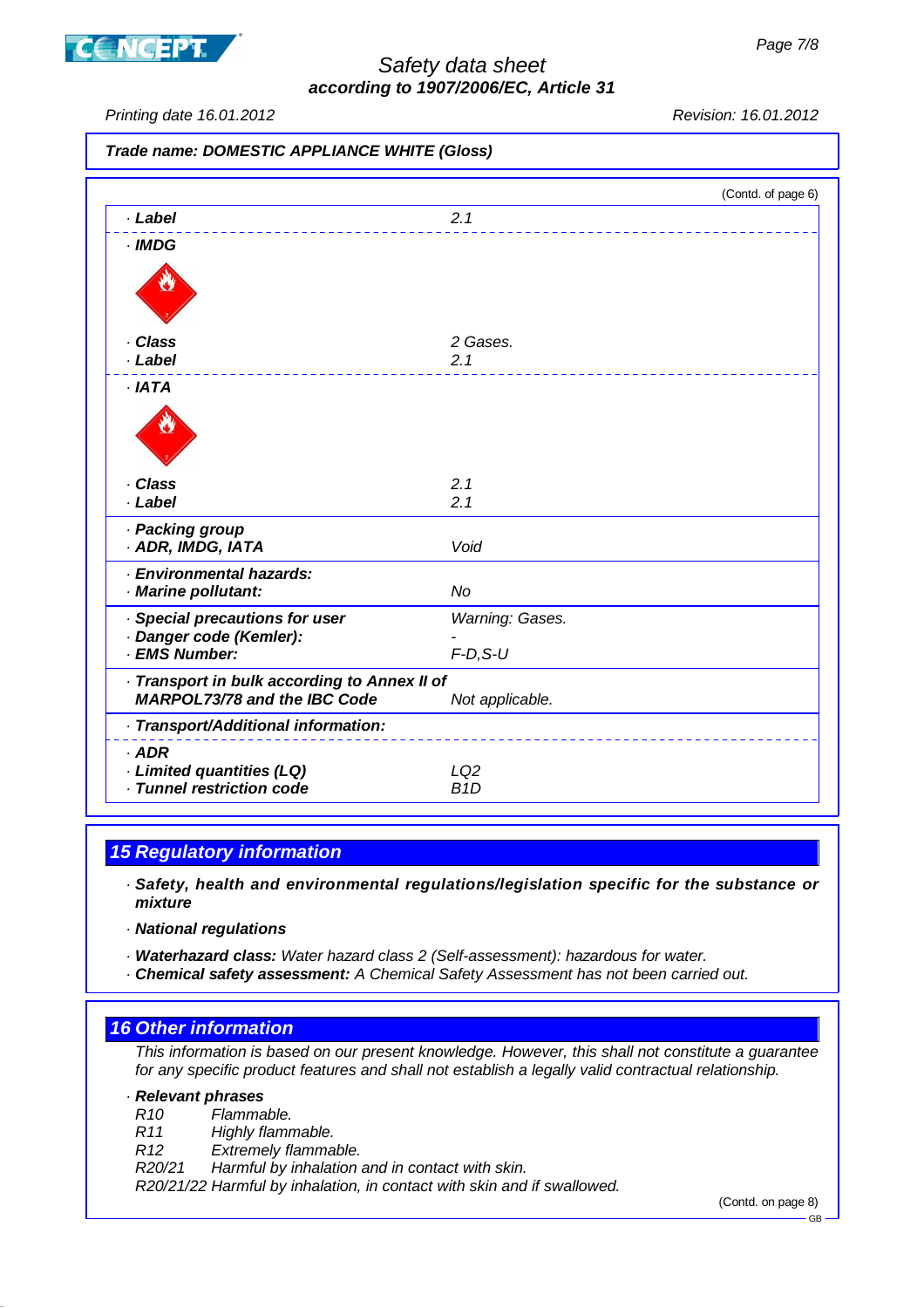



Printing date 16.01.2012 Revision: 16.01.2012

**Trade name: DOMESTIC APPLIANCE WHITE (Gloss)**

|                                                                                     |                  | (Contd. of page 6) |
|-------------------------------------------------------------------------------------|------------------|--------------------|
| · Label                                                                             | 2.1              |                    |
| $\cdot$ IMDG                                                                        |                  |                    |
|                                                                                     |                  |                    |
| · Class                                                                             | 2 Gases.         |                    |
| · Label                                                                             | 2.1              |                    |
| $·$ IATA                                                                            |                  |                    |
|                                                                                     |                  |                    |
| · Class                                                                             | 2.1              |                    |
| · Label                                                                             | 2.1              |                    |
| · Packing group                                                                     |                  |                    |
| · ADR, IMDG, IATA                                                                   | Void             |                    |
| · Environmental hazards:                                                            |                  |                    |
| · Marine pollutant:                                                                 | <b>No</b>        |                    |
| · Special precautions for user                                                      | Warning: Gases.  |                    |
| · Danger code (Kemler):<br>· EMS Number:                                            |                  |                    |
|                                                                                     | $F-D, S-U$       |                    |
| · Transport in bulk according to Annex II of<br><b>MARPOL73/78 and the IBC Code</b> | Not applicable.  |                    |
| · Transport/Additional information:                                                 |                  |                    |
| $·$ ADR                                                                             |                  |                    |
| · Limited quantities (LQ)                                                           | LQ <sub>2</sub>  |                    |
| · Tunnel restriction code                                                           | B <sub>1</sub> D |                    |

# **15 Regulatory information**

· **Safety, health and environmental regulations/legislation specific for the substance or mixture**

· **National regulations**

· **Waterhazard class:** Water hazard class 2 (Self-assessment): hazardous for water.

· **Chemical safety assessment:** A Chemical Safety Assessment has not been carried out.

## **16 Other information**

This information is based on our present knowledge. However, this shall not constitute a guarantee for any specific product features and shall not establish a legally valid contractual relationship.

#### · **Relevant phrases**

R10 Flammable.

R11 Highly flammable.

R12 Extremely flammable.

R20/21 Harmful by inhalation and in contact with skin.

R20/21/22 Harmful by inhalation, in contact with skin and if swallowed.

(Contd. on page 8)

GB